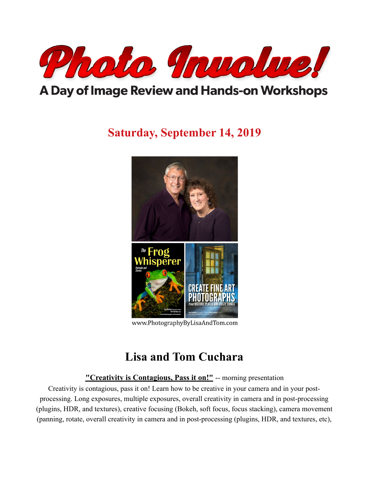

# A Day of Image Review and Hands-on Workshops

# **Saturday, September 14, 2019**



www.PhotographyByLisaAndTom.com

### **Lisa and Tom Cuchara**

**"Creativity is Contagious, Pass it on!"** -- morning presentation

Creativity is contagious, pass it on! Learn how to be creative in your camera and in your postprocessing. Long exposures, multiple exposures, overall creativity in camera and in post-processing (plugins, HDR, and textures), creative focusing (Bokeh, soft focus, focus stacking), camera movement (panning, rotate, overall creativity in camera and in post-processing (plugins, HDR, and textures, etc),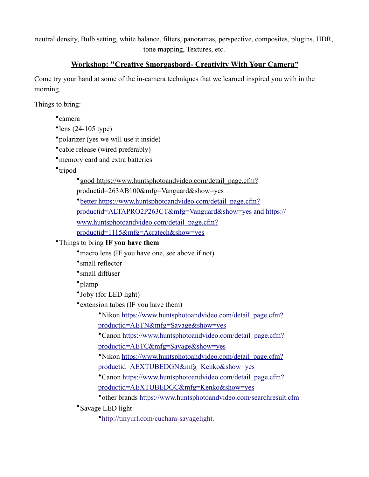neutral density, Bulb setting, white balance, filters, panoramas, perspective, composites, plugins, HDR, tone mapping, Textures, etc.

#### **Workshop: "Creative Smorgasbord- Creativity With Your Camera"**

Come try your hand at some of the in-camera techniques that we learned inspired you with in the morning.

Things to bring:

•camera

```
\textdegreelens (24-105 type)
```
- •polarizer (yes we will use it inside)
- •cable release (wired preferably)
- memory card and extra batteries
- •tripod

•[good https://www.huntsphotoandvideo.com/detail\\_page.cfm?](https://www.huntsphotoandvideo.com/detail_page.cfm?productid=263AB100&mfg=Vanguard&show=yes)

[productid=263AB100&mfg=Vanguard&show=yes](https://www.huntsphotoandvideo.com/detail_page.cfm?productid=263AB100&mfg=Vanguard&show=yes) 

•[better https://www.huntsphotoandvideo.com/detail\\_page.cfm?](https://www.huntsphotoandvideo.com/detail_page.cfm?productid=ALTAPRO2P263CT&mfg=Vanguard&show=yes)

[productid=ALTAPRO2P263CT&mfg=Vanguard&show=yes and](https://www.huntsphotoandvideo.com/detail_page.cfm?productid=ALTAPRO2P263CT&mfg=Vanguard&show=yes) [https://](https://www.huntsphotoandvideo.com/detail_page.cfm?productid=1115&mfg=Acratech&show=yes)

[www.huntsphotoandvideo.com/detail\\_page.cfm?](https://www.huntsphotoandvideo.com/detail_page.cfm?productid=1115&mfg=Acratech&show=yes)

[productid=1115&mfg=Acratech&show=yes](https://www.huntsphotoandvideo.com/detail_page.cfm?productid=1115&mfg=Acratech&show=yes)

### •Things to bring **IF you have them**

• macro lens (IF you have one, see above if not)

- •small reflector
- •small diffuser
- •plamp

•Joby (for LED light)

• extension tubes (IF you have them)

•Nikon [https://www.huntsphotoandvideo.com/detail\\_page.cfm?](https://www.huntsphotoandvideo.com/detail_page.cfm?productid=AETN&mfg=Savage&show=yes) [productid=AETN&mfg=Savage&show=yes](https://www.huntsphotoandvideo.com/detail_page.cfm?productid=AETN&mfg=Savage&show=yes)

•Canon [https://www.huntsphotoandvideo.com/detail\\_page.cfm?](https://www.huntsphotoandvideo.com/detail_page.cfm?productid=AETC&mfg=Savage&show=yes)

[productid=AETC&mfg=Savage&show=yes](https://www.huntsphotoandvideo.com/detail_page.cfm?productid=AETC&mfg=Savage&show=yes)

•Nikon [https://www.huntsphotoandvideo.com/detail\\_page.cfm?](https://www.huntsphotoandvideo.com/detail_page.cfm?productid=AEXTUBEDGN&mfg=Kenko&show=yes) [productid=AEXTUBEDGN&mfg=Kenko&show=yes](https://www.huntsphotoandvideo.com/detail_page.cfm?productid=AEXTUBEDGN&mfg=Kenko&show=yes)

•Canon [https://www.huntsphotoandvideo.com/detail\\_page.cfm?](https://www.huntsphotoandvideo.com/detail_page.cfm?productid=AEXTUBEDGC&mfg=Kenko&show=yes) [productid=AEXTUBEDGC&mfg=Kenko&show=yes](https://www.huntsphotoandvideo.com/detail_page.cfm?productid=AEXTUBEDGC&mfg=Kenko&show=yes)

•other brands<https://www.huntsphotoandvideo.com/searchresult.cfm>

•Savage LED light

•[http://tinyurl.com/cuchara-savageligh](http://tinyurl.com/cuchara-savagelight)t.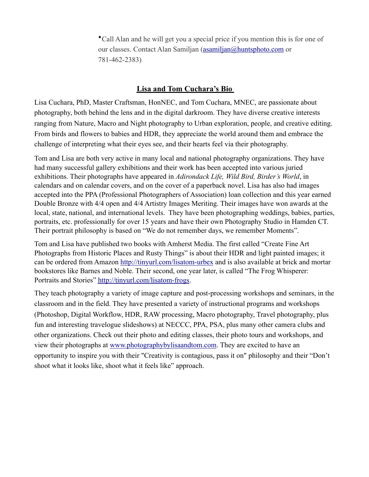•Call Alan and he will get you a special price if you mention this is for one of our classes. Contact Alan Samiljan ([asamiljan@huntsphoto.com](mailto:asamiljan@huntsphoto.com) or 781-462-2383)

#### **Lisa and Tom Cuchara's Bio**

Lisa Cuchara, PhD, Master Craftsman, HonNEC, and Tom Cuchara, MNEC, are passionate about photography, both behind the lens and in the digital darkroom. They have diverse creative interests ranging from Nature, Macro and Night photography to Urban exploration, people, and creative editing. From birds and flowers to babies and HDR, they appreciate the world around them and embrace the challenge of interpreting what their eyes see, and their hearts feel via their photography.

Tom and Lisa are both very active in many local and national photography organizations. They have had many successful gallery exhibitions and their work has been accepted into various juried exhibitions. Their photographs have appeared in *Adirondack Life, Wild Bird, Birder's World*, in calendars and on calendar covers, and on the cover of a paperback novel. Lisa has also had images accepted into the PPA (Professional Photographers of Association) loan collection and this year earned Double Bronze with 4/4 open and 4/4 Artistry Images Meriting. Their images have won awards at the local, state, national, and international levels. They have been photographing weddings, babies, parties, portraits, etc. professionally for over 15 years and have their own Photography Studio in Hamden CT. Their portrait philosophy is based on "We do not remember days, we remember Moments".

Tom and Lisa have published two books with Amherst Media. The first called "Create Fine Art Photographs from Historic Places and Rusty Things" is about their HDR and light painted images; it can be ordered from Amazon <http://tinyurl.com/lisatom-urbex> and is also available at brick and mortar bookstores like Barnes and Noble. Their second, one year later, is called "The Frog Whisperer: Portraits and Stories"<http://tinyurl.com/lisatom-frogs>.

They teach photography a variety of image capture and post-processing workshops and seminars, in the classroom and in the field. They have presented a variety of instructional programs and workshops (Photoshop, Digital Workflow, HDR, RAW processing, Macro photography, Travel photography, plus fun and interesting travelogue slideshows) at NECCC, PPA, PSA, plus many other camera clubs and other organizations. Check out their photo and editing classes, their photo tours and workshops, and view their photographs at [www.photographybylisaandtom.com](http://www.photographybylisaandtom.com/). They are excited to have an opportunity to inspire you with their "Creativity is contagious, pass it on" philosophy and their "Don't shoot what it looks like, shoot what it feels like" approach.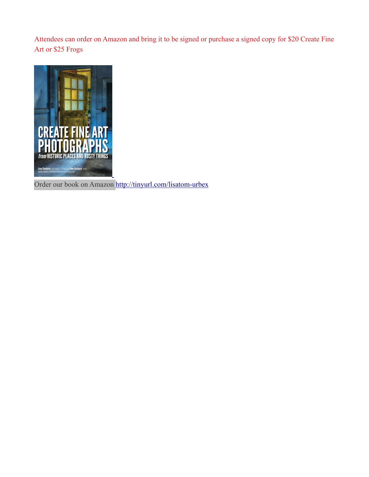Attendees can order on Amazon and bring it to be signed or purchase a signed copy for \$20 Create Fine Art or \$25 Frogs



Order our book on Amazon <http://tinyurl.com/lisatom-urbex>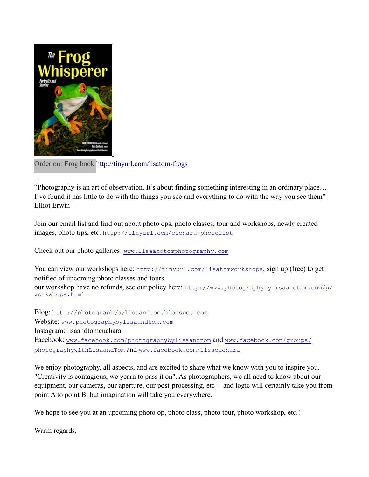

--

Order our Frog book<http://tinyurl.com/lisatom-frogs>

"Photography is an art of observation. It's about finding something interesting in an ordinary place… I've found it has little to do with the things you see and everything to do with the way you see them" – Elliot Erwin

Join our email list and find out about photo ops, photo classes, tour and workshops, newly created images, photo tips, etc. <http://tinyurl.com/cuchara-photolist>

Check out our photo galleries: [www.lisaandtomphotography.com](http://www.lisaandtomphotography.com/)

You can view our workshops here: <http://tinyurl.com/lisatomworkshops>; sign up (free) to get notified of upcoming photo classes and tours. our workshop have no refunds, see our policy here: [http://www.photographybylisaandtom.com/p/](http://www.photographybylisaandtom.com/p/workshops.html) [workshops.html](http://www.photographybylisaandtom.com/p/workshops.html)

Blog: [http://photographybylisaandtom.blogspot.com](http://photographybylisaandtom.blogspot.com/) Website: [www.photographybylisaandtom.com](http://www.photographybylisaandtom.com/) Instagram: lisaandtomcuchara Facebook: [www.facebook.com/photographybylisaandtom](http://www.facebook.com/photographybylisaandtom) and [www.facebook.com/groups/](http://www.facebook.com/groups/photographywithLisaandTom) [photographywithLisaandTom](http://www.facebook.com/groups/photographywithLisaandTom) and [www.facebook.com/lisacuchara](http://www.facebook.com/lisacuchara)

We enjoy photography, all aspects, and are excited to share what we know with you to inspire you. "Creativity is contagious, we yearn to pass it on". As photographers, we all need to know about our equipment, our cameras, our aperture, our post-processing, etc -- and logic will certainly take you from point A to point B, but imagination will take you everywhere.

We hope to see you at an upcoming photo op, photo class, photo tour, photo workshop, etc.!

Warm regards,